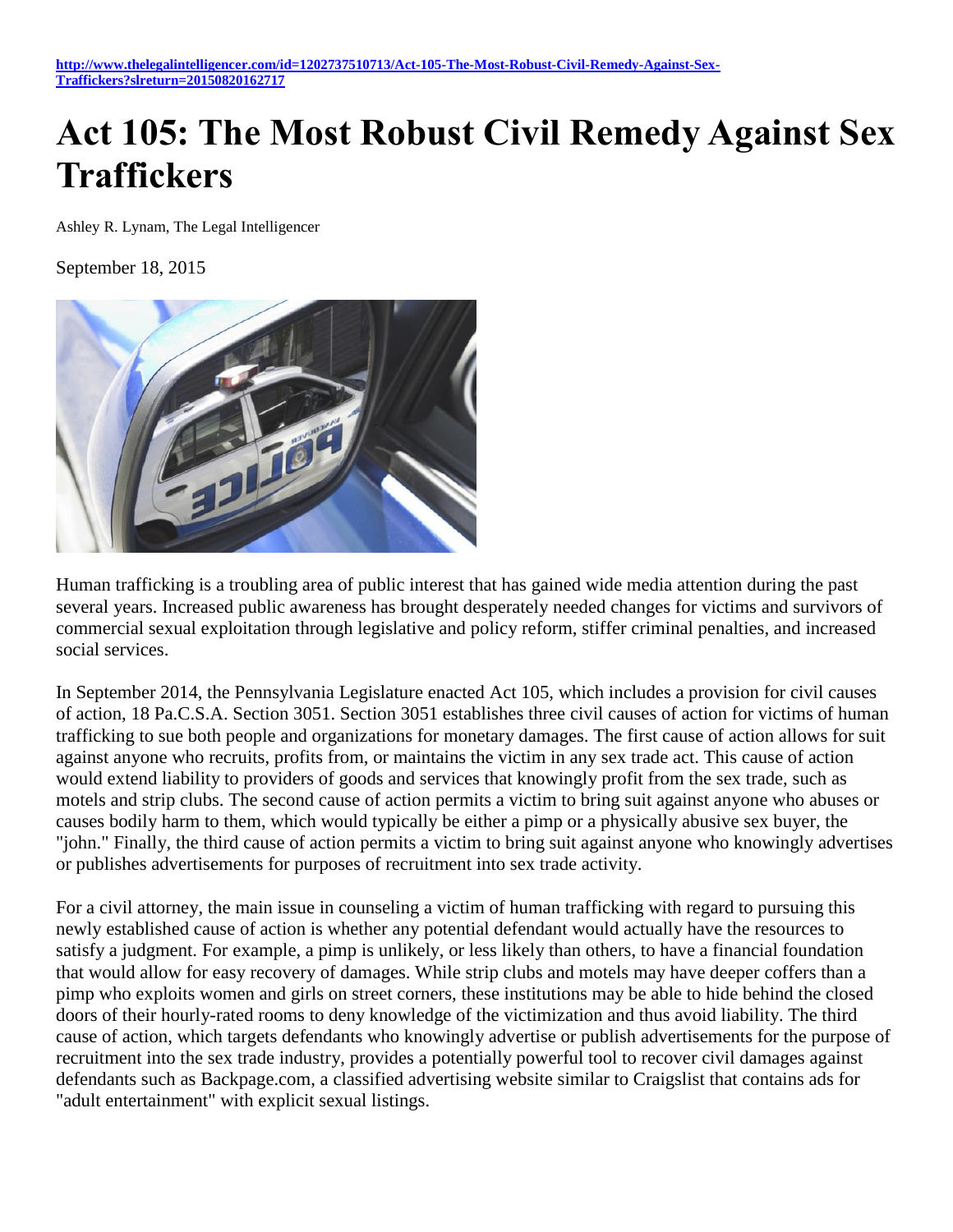## **Act 105: The Most Robust Civil Remedy Against Sex Traffickers**

Ashley R. Lynam, The Legal Intelligencer

September 18, 2015



Human trafficking is a troubling area of public interest that has gained wide media attention during the past several years. Increased public awareness has brought desperately needed changes for victims and survivors of commercial sexual exploitation through legislative and policy reform, stiffer criminal penalties, and increased social services.

In September 2014, the Pennsylvania Legislature enacted Act 105, which includes a provision for civil causes of action, 18 Pa.C.S.A. Section 3051. Section 3051 establishes three civil causes of action for victims of human trafficking to sue both people and organizations for monetary damages. The first cause of action allows for suit against anyone who recruits, profits from, or maintains the victim in any sex trade act. This cause of action would extend liability to providers of goods and services that knowingly profit from the sex trade, such as motels and strip clubs. The second cause of action permits a victim to bring suit against anyone who abuses or causes bodily harm to them, which would typically be either a pimp or a physically abusive sex buyer, the "john." Finally, the third cause of action permits a victim to bring suit against anyone who knowingly advertises or publishes advertisements for purposes of recruitment into sex trade activity.

For a civil attorney, the main issue in counseling a victim of human trafficking with regard to pursuing this newly established cause of action is whether any potential defendant would actually have the resources to satisfy a judgment. For example, a pimp is unlikely, or less likely than others, to have a financial foundation that would allow for easy recovery of damages. While strip clubs and motels may have deeper coffers than a pimp who exploits women and girls on street corners, these institutions may be able to hide behind the closed doors of their hourly-rated rooms to deny knowledge of the victimization and thus avoid liability. The third cause of action, which targets defendants who knowingly advertise or publish advertisements for the purpose of recruitment into the sex trade industry, provides a potentially powerful tool to recover civil damages against defendants such as Backpage.com, a classified advertising website similar to Craigslist that contains ads for "adult entertainment" with explicit sexual listings.